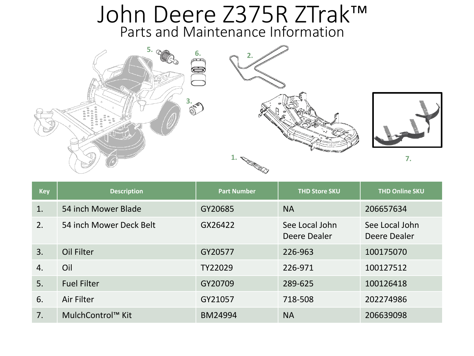## Parts and Maintenance Information John Deere Z375R ZTrak™







| <b>Key</b> | <b>Description</b>            | <b>Part Number</b> | <b>THD Store SKU</b>           | <b>THD Online SKU</b>          |
|------------|-------------------------------|--------------------|--------------------------------|--------------------------------|
| 1.         | 54 inch Mower Blade           | GY20685            | <b>NA</b>                      | 206657634                      |
| 2.         | 54 inch Mower Deck Belt       | GX26422            | See Local John<br>Deere Dealer | See Local John<br>Deere Dealer |
| 3.         | Oil Filter                    | GY20577            | 226-963                        | 100175070                      |
| 4.         | Oil                           | TY22029            | 226-971                        | 100127512                      |
| 5.         | <b>Fuel Filter</b>            | GY20709            | 289-625                        | 100126418                      |
| 6.         | Air Filter                    | GY21057            | 718-508                        | 202274986                      |
| 7.         | MulchControl <sup>™</sup> Kit | BM24994            | <b>NA</b>                      | 206639098                      |